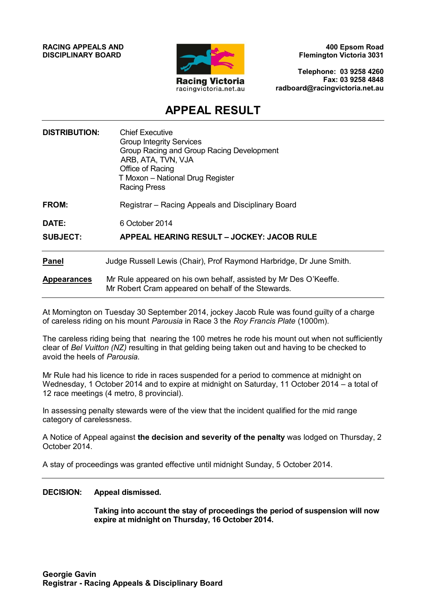**RACING APPEALS AND DISCIPLINARY BOARD**



**400 Epsom Road Flemington Victoria 3031**

**Telephone: 03 9258 4260 Fax: 03 9258 4848 radboard@racingvictoria.net.au**

## **APPEAL RESULT**

| <b>DISTRIBUTION:</b>     | <b>Chief Executive</b><br><b>Group Integrity Services</b><br>Group Racing and Group Racing Development<br>ARB, ATA, TVN, VJA<br>Office of Racing<br>T Moxon - National Drug Register<br><b>Racing Press</b> |
|--------------------------|-------------------------------------------------------------------------------------------------------------------------------------------------------------------------------------------------------------|
| FROM:                    | Registrar – Racing Appeals and Disciplinary Board                                                                                                                                                           |
| DATE:<br><b>SUBJECT:</b> | 6 October 2014<br>APPEAL HEARING RESULT - JOCKEY: JACOB RULE                                                                                                                                                |
| <b>Panel</b>             | Judge Russell Lewis (Chair), Prof Raymond Harbridge, Dr June Smith.                                                                                                                                         |
| <b>Appearances</b>       | Mr Rule appeared on his own behalf, assisted by Mr Des O'Keeffe.<br>Mr Robert Cram appeared on behalf of the Stewards.                                                                                      |

At Mornington on Tuesday 30 September 2014, jockey Jacob Rule was found guilty of a charge of careless riding on his mount *Parousia* in Race 3 the *Roy Francis Plate* (1000m).

The careless riding being that nearing the 100 metres he rode his mount out when not sufficiently clear of *Bel Vuitton (NZ)* resulting in that gelding being taken out and having to be checked to avoid the heels of *Parousia.*

Mr Rule had his licence to ride in races suspended for a period to commence at midnight on Wednesday, 1 October 2014 and to expire at midnight on Saturday, 11 October 2014 – a total of 12 race meetings (4 metro, 8 provincial).

In assessing penalty stewards were of the view that the incident qualified for the mid range category of carelessness.

A Notice of Appeal against **the decision and severity of the penalty** was lodged on Thursday, 2 October 2014.

A stay of proceedings was granted effective until midnight Sunday, 5 October 2014.

#### **DECISION: Appeal dismissed.**

**Taking into account the stay of proceedings the period of suspension will now expire at midnight on Thursday, 16 October 2014.**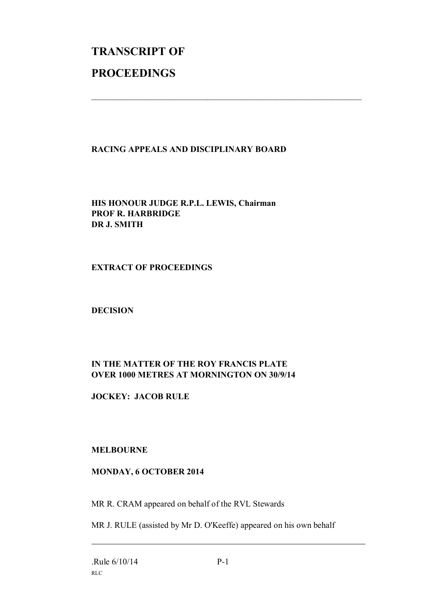# **TRANSCRIPT OF PROCEEDINGS**

#### **RACING APPEALS AND DISCIPLINARY BOARD**

 $\mathcal{L}_\text{max}$  , and the contribution of the contribution of the contribution of the contribution of the contribution of the contribution of the contribution of the contribution of the contribution of the contribution of t

**HIS HONOUR JUDGE R.P.L. LEWIS, Chairman PROF R. HARBRIDGE DR J. SMITH**

**EXTRACT OF PROCEEDINGS**

**DECISION**

### **IN THE MATTER OF THE ROY FRANCIS PLATE OVER 1000 METRES AT MORNINGTON ON 30/9/14**

**JOCKEY: JACOB RULE**

#### **MELBOURNE**

#### **MONDAY, 6 OCTOBER 2014**

MR R. CRAM appeared on behalf of the RVL Stewards

MR J. RULE (assisted by Mr D. O'Keeffe) appeared on his own behalf